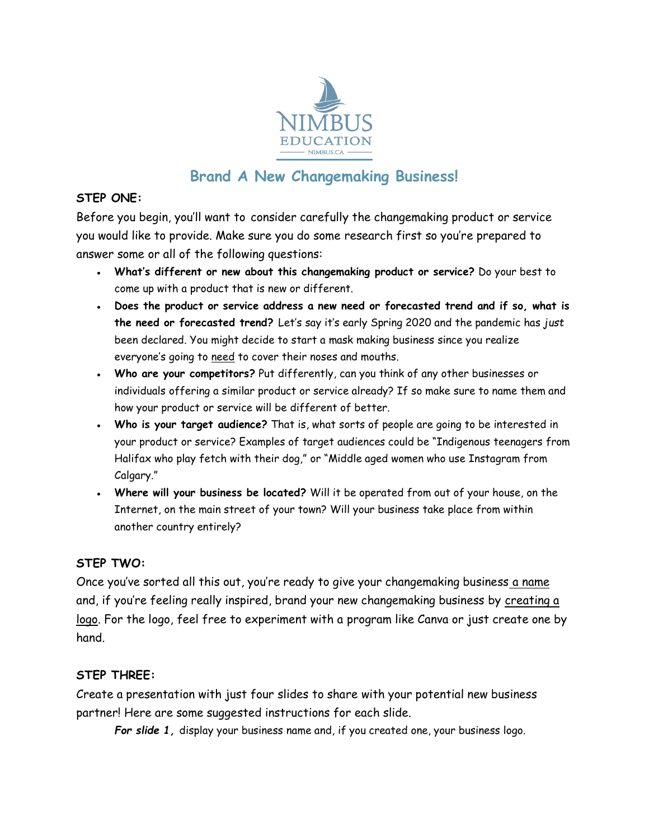

# **Brand A New Changemaking Business!**

## **STEP ONE:**

Before you begin, you'll want to consider carefully the changemaking product or service you would like to provide. Make sure you do some research first so you're prepared to answer some or all of the following questions:

- **What's different or new about this changemaking product or service?** Do your best to come up with a product that is new or different.
- Does the product or service address a new need or forecasted trend and if so, what is **the need or forecasted trend?** Let's say it's early Spring 2020 and the pandemic has *just* been declared. You might decide to start a mask making business since you realize everyone's going to need to cover their noses and mouths.
- **Who are your competitors?** Put differently, can you think of any other businesses or individuals offering a similar product or service already? If so make sure to name them and how your product or service will be different of better.
- **Who is your target audience?** That is, what sorts of people are going to be interested in your product or service? Examples of target audiences could be "Indigenous teenagers from Halifax who play fetch with their dog," or "Middle aged women who use Instagram from Calgary."
- **Where will your business be located?** Will it be operated from out of your house, on the Internet, on the main street of your town? Will your business take place from within another country entirely?

### **STEP TWO:**

Once you've sorted all this out, you're ready to give your changemaking business a name and, if you're feeling really inspired, brand your new changemaking business by creating a logo. For the logo, feel free to experiment with a program like Canva or just create one by hand.

### **STEP THREE:**

Create a presentation with just four slides to share with your potential new business partner! Here are some suggested instructions for each slide.

*For slide 1,* display your business name and, if you created one, your business logo.